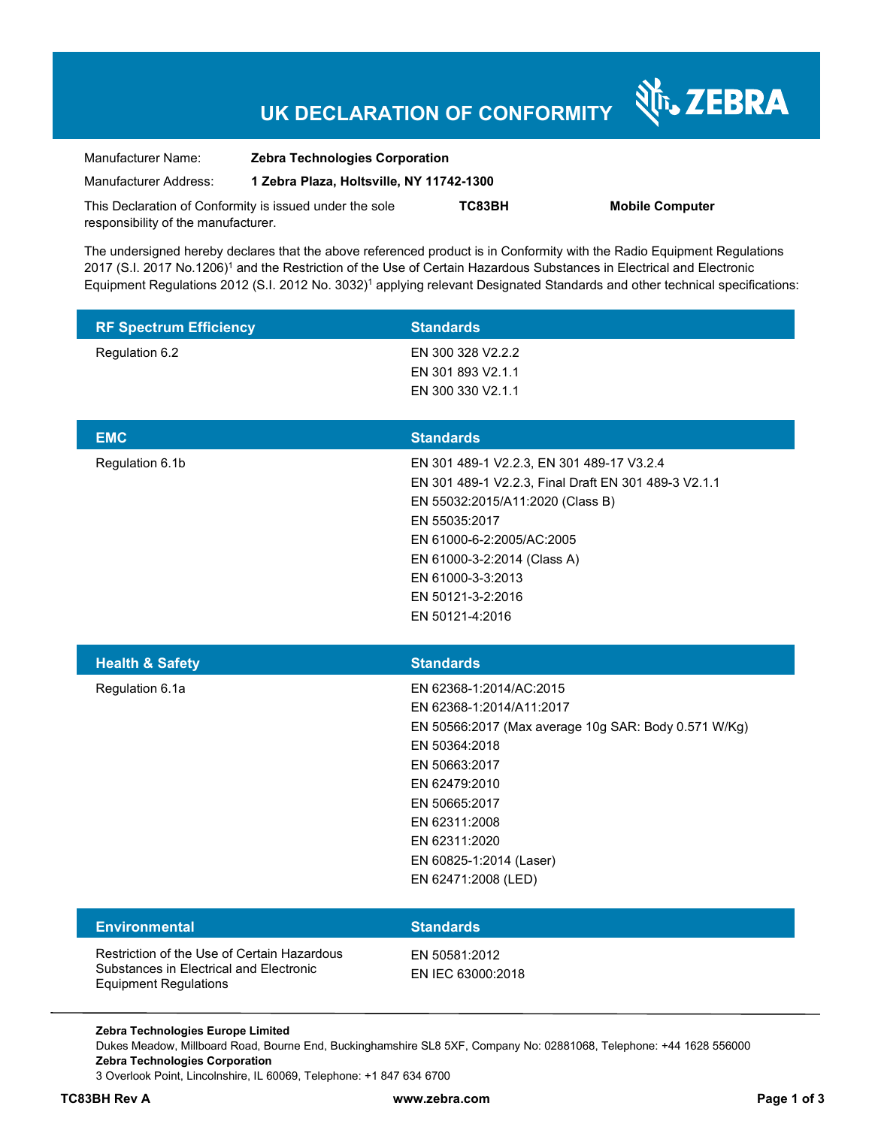# **UK DECLARATION OF CONFORMITY**

Nr. ZEBRA

| Manufacturer Name:                                      | <b>Zebra Technologies Corporation</b>    |        |                        |
|---------------------------------------------------------|------------------------------------------|--------|------------------------|
| Manufacturer Address:                                   | 1 Zebra Plaza, Holtsville, NY 11742-1300 |        |                        |
| This Declaration of Conformity is issued under the sole |                                          | TC83BH | <b>Mobile Computer</b> |
| responsibility of the manufacturer.                     |                                          |        |                        |

The undersigned hereby declares that the above referenced product is in Conformity with the Radio Equipment Regulations 2017 (S.I. 2017 No.1206)<sup>1</sup> and the Restriction of the Use of Certain Hazardous Substances in Electrical and Electronic Equipment Regulations 2012 (S.I. 2012 No. 3032)<sup>1</sup> applying relevant Designated Standards and other technical specifications:

| <b>RF Spectrum Efficiency</b>                                                                                          | <b>Standards</b>                                                                                                                                                                                                                                                                |
|------------------------------------------------------------------------------------------------------------------------|---------------------------------------------------------------------------------------------------------------------------------------------------------------------------------------------------------------------------------------------------------------------------------|
| Regulation 6.2                                                                                                         | EN 300 328 V2.2.2<br>EN 301 893 V2.1.1<br>EN 300 330 V2.1.1                                                                                                                                                                                                                     |
| <b>EMC</b>                                                                                                             | <b>Standards</b>                                                                                                                                                                                                                                                                |
| Regulation 6.1b                                                                                                        | EN 301 489-1 V2.2.3, EN 301 489-17 V3.2.4<br>EN 301 489-1 V2.2.3, Final Draft EN 301 489-3 V2.1.1<br>EN 55032:2015/A11:2020 (Class B)<br>EN 55035:2017<br>EN 61000-6-2:2005/AC:2005<br>EN 61000-3-2:2014 (Class A)<br>EN 61000-3-3:2013<br>EN 50121-3-2:2016<br>EN 50121-4:2016 |
| <b>Health &amp; Safety</b>                                                                                             | <b>Standards</b>                                                                                                                                                                                                                                                                |
| Regulation 6.1a                                                                                                        | EN 62368-1:2014/AC:2015<br>EN 62368-1:2014/A11:2017<br>EN 50566:2017 (Max average 10g SAR: Body 0.571 W/Kg)<br>EN 50364:2018<br>EN 50663:2017<br>EN 62479:2010<br>EN 50665:2017<br>EN 62311:2008<br>EN 62311:2020<br>EN 60825-1:2014 (Laser)<br>EN 62471:2008 (LED)             |
| <b>Environmental</b>                                                                                                   | <b>Standards</b>                                                                                                                                                                                                                                                                |
| Restriction of the Use of Certain Hazardous<br>Substances in Electrical and Electronic<br><b>Equipment Regulations</b> | EN 50581:2012<br>EN IEC 63000:2018                                                                                                                                                                                                                                              |
| Zebra Technologies Europe Limited                                                                                      |                                                                                                                                                                                                                                                                                 |

Dukes Meadow, Millboard Road, Bourne End, Buckinghamshire SL8 5XF, Company No: 02881068, Telephone: +44 1628 556000 **Zebra Technologies Corporation**  3 Overlook Point, Lincolnshire, IL 60069, Telephone: +1 847 634 6700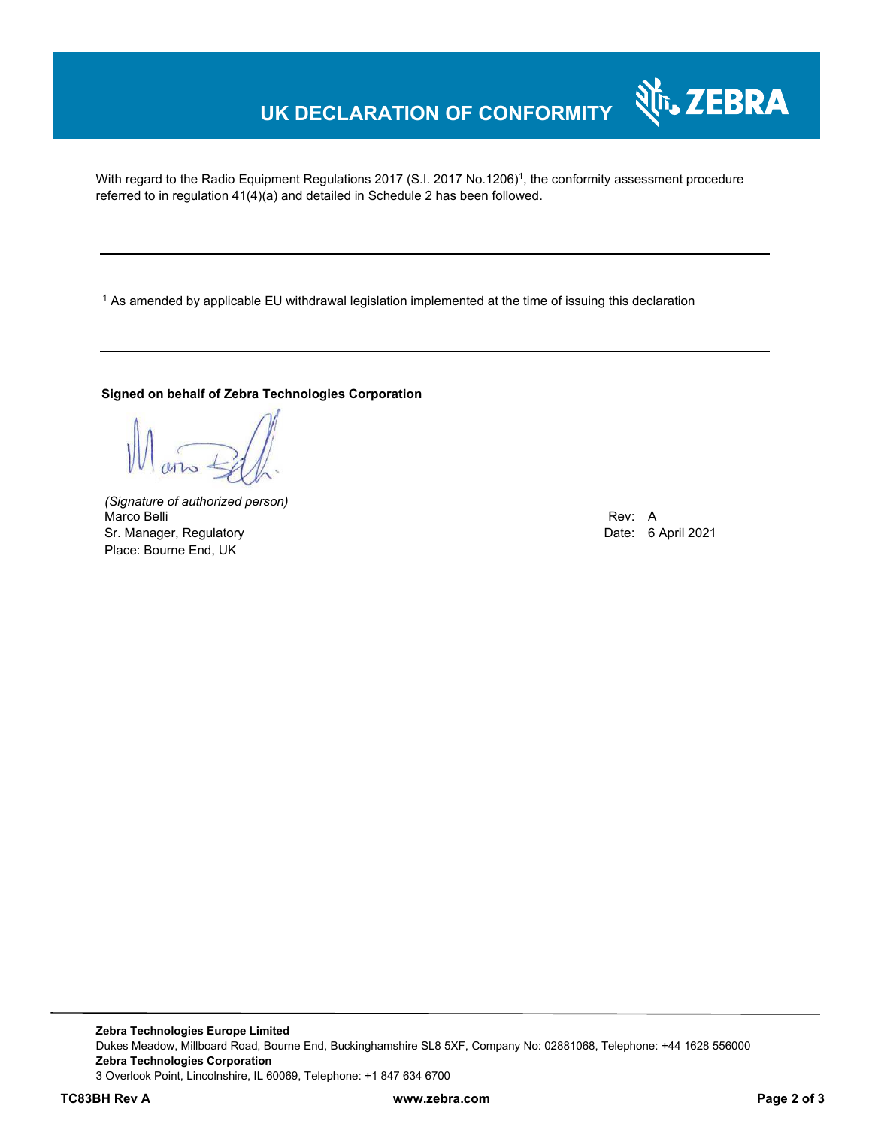## **UK DECLARATION OF CONFORMITY**

With regard to the Radio Equipment Regulations 2017 (S.I. 2017 No.1206)<sup>1</sup>, the conformity assessment procedure referred to in regulation 41(4)(a) and detailed in Schedule 2 has been followed.

 $^{\rm 1}$  As amended by applicable EU withdrawal legislation implemented at the time of issuing this declaration

#### **Signed on behalf of Zebra Technologies Corporation**

*(Signature of authorized person)* Marco Belli Rev: A Sr. Manager, Regulatory Date: 6 April 2021 Place: Bourne End, UK

र्शे<sub>ि</sub> ZEBRA